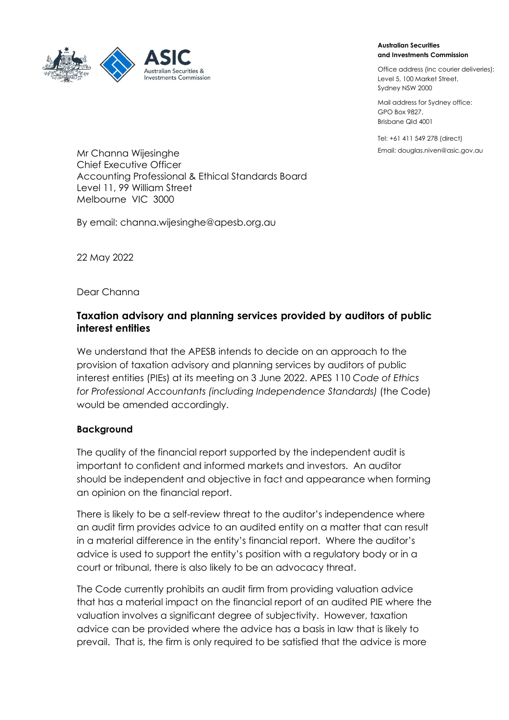

## **Australian Securities and Investments Commission**

Office address (inc courier deliveries): Level 5, 100 Market Street, Sydney NSW 2000

Mail address for Sydney office: GPO Box 9827, Brisbane Qld 4001

Tel: +61 411 549 278 (direct)

Mr Channa Wijesinghe **Manual Accord Contract Contract Contract** Email: douglas.niven@asic.gov.au Chief Executive Officer Accounting Professional & Ethical Standards Board Level 11, 99 William Street Melbourne VIC 3000

By email: [channa.wijesinghe@apesb.org.au](mailto:channa.wijesinghe@apesb.org.au)

22 May 2022

Dear Channa

## **Taxation advisory and planning services provided by auditors of public interest entities**

We understand that the APESB intends to decide on an approach to the provision of taxation advisory and planning services by auditors of public interest entities (PIEs) at its meeting on 3 June 2022. APES 110 *Code of Ethics for Professional Accountants (including Independence Standards)* (the Code) would be amended accordingly.

## **Background**

The quality of the financial report supported by the independent audit is important to confident and informed markets and investors. An auditor should be independent and objective in fact and appearance when forming an opinion on the financial report.

There is likely to be a self-review threat to the auditor's independence where an audit firm provides advice to an audited entity on a matter that can result in a material difference in the entity's financial report. Where the auditor's advice is used to support the entity's position with a regulatory body or in a court or tribunal, there is also likely to be an advocacy threat.

The Code currently prohibits an audit firm from providing valuation advice that has a material impact on the financial report of an audited PIE where the valuation involves a significant degree of subjectivity. However, taxation advice can be provided where the advice has a basis in law that is likely to prevail. That is, the firm is only required to be satisfied that the advice is more